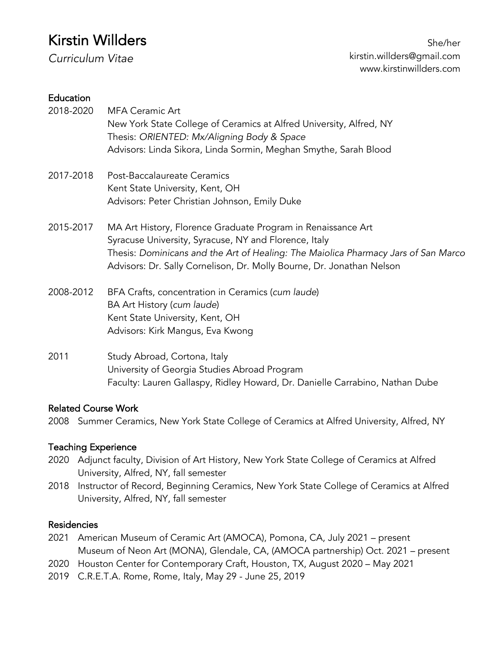# Kirstin Willders

*Curriculum Vitae* 

#### **Education**

| 2018-2020 | <b>MFA Ceramic Art</b><br>New York State College of Ceramics at Alfred University, Alfred, NY<br>Thesis: ORIENTED: Mx/Aligning Body & Space<br>Advisors: Linda Sikora, Linda Sormin, Meghan Smythe, Sarah Blood                                                                      |
|-----------|--------------------------------------------------------------------------------------------------------------------------------------------------------------------------------------------------------------------------------------------------------------------------------------|
| 2017-2018 | Post-Baccalaureate Ceramics<br>Kent State University, Kent, OH<br>Advisors: Peter Christian Johnson, Emily Duke                                                                                                                                                                      |
| 2015-2017 | MA Art History, Florence Graduate Program in Renaissance Art<br>Syracuse University, Syracuse, NY and Florence, Italy<br>Thesis: Dominicans and the Art of Healing: The Maiolica Pharmacy Jars of San Marco<br>Advisors: Dr. Sally Cornelison, Dr. Molly Bourne, Dr. Jonathan Nelson |
| 2008-2012 | BFA Crafts, concentration in Ceramics (cum laude)<br>BA Art History (cum laude)<br>Kent State University, Kent, OH<br>Advisors: Kirk Mangus, Eva Kwong                                                                                                                               |
| 2011      | Study Abroad, Cortona, Italy                                                                                                                                                                                                                                                         |

University of Georgia Studies Abroad Program Faculty: Lauren Gallaspy, Ridley Howard, Dr. Danielle Carrabino, Nathan Dube

### Related Course Work

2008 Summer Ceramics, New York State College of Ceramics at Alfred University, Alfred, NY

### Teaching Experience

- 2020 Adjunct faculty, Division of Art History, New York State College of Ceramics at Alfred University, Alfred, NY, fall semester
- 2018 Instructor of Record, Beginning Ceramics, New York State College of Ceramics at Alfred University, Alfred, NY, fall semester

#### Residencies

- 2021 American Museum of Ceramic Art (AMOCA), Pomona, CA, July 2021 present Museum of Neon Art (MONA), Glendale, CA, (AMOCA partnership) Oct. 2021 – present
- 2020 Houston Center for Contemporary Craft, Houston, TX, August 2020 May 2021
- 2019 C.R.E.T.A. Rome, Rome, Italy, May 29 June 25, 2019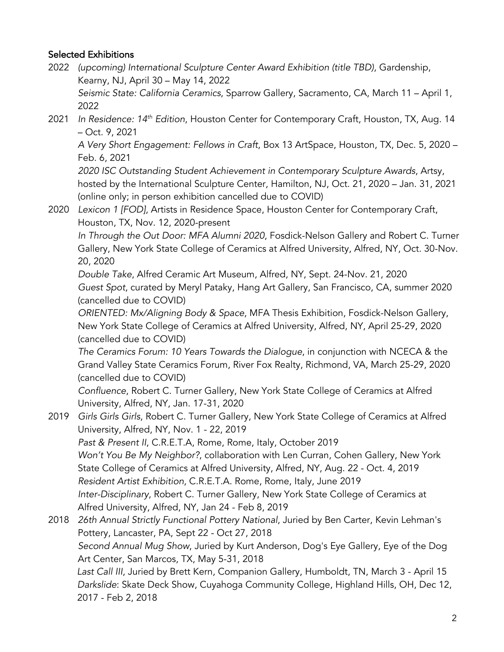### Selected Exhibitions

2022 *(upcoming) International Sculpture Center Award Exhibition (title TBD)*, Gardenship, Kearny, NJ, April 30 – May 14, 2022 *Seismic State: California Ceramics*, Sparrow Gallery, Sacramento, CA, March 11 – April 1,

2022

2021 *In Residence: 14th Edition*, Houston Center for Contemporary Craft, Houston, TX, Aug. 14 – Oct. 9, 2021

*A Very Short Engagement: Fellows in Craft*, Box 13 ArtSpace, Houston, TX, Dec. 5, 2020 – Feb. 6, 2021

*2020 ISC Outstanding Student Achievement in Contemporary Sculpture Awards*, Artsy, hosted by the International Sculpture Center, Hamilton, NJ, Oct. 21, 2020 – Jan. 31, 2021 (online only; in person exhibition cancelled due to COVID)

2020 *Lexicon 1 [FOD]*, Artists in Residence Space, Houston Center for Contemporary Craft, Houston, TX, Nov. 12, 2020-present

*In Through the Out Door: MFA Alumni 2020*, Fosdick-Nelson Gallery and Robert C. Turner Gallery, New York State College of Ceramics at Alfred University, Alfred, NY, Oct. 30-Nov. 20, 2020

*Double Take*, Alfred Ceramic Art Museum, Alfred, NY, Sept. 24-Nov. 21, 2020 *Guest Spot*, curated by Meryl Pataky, Hang Art Gallery, San Francisco, CA, summer 2020 (cancelled due to COVID)

*ORIENTED: Mx/Aligning Body & Space*, MFA Thesis Exhibition, Fosdick-Nelson Gallery, New York State College of Ceramics at Alfred University, Alfred, NY, April 25-29, 2020 (cancelled due to COVID)

*The Ceramics Forum: 10 Years Towards the Dialogue*, in conjunction with NCECA & the Grand Valley State Ceramics Forum, River Fox Realty, Richmond, VA, March 25-29, 2020 (cancelled due to COVID)

*Confluence*, Robert C. Turner Gallery, New York State College of Ceramics at Alfred University, Alfred, NY, Jan. 17-31, 2020

- 2019 *Girls Girls Girls*, Robert C. Turner Gallery, New York State College of Ceramics at Alfred University, Alfred, NY, Nov. 1 - 22, 2019 *Past & Present II*, C.R.E.T.A, Rome, Rome, Italy, October 2019 *Won't You Be My Neighbor?*, collaboration with Len Curran, Cohen Gallery, New York State College of Ceramics at Alfred University, Alfred, NY, Aug. 22 - Oct. 4, 2019 *Resident Artist Exhibition*, C.R.E.T.A. Rome, Rome, Italy, June 2019 *Inter-Disciplinary*, Robert C. Turner Gallery, New York State College of Ceramics at Alfred University, Alfred, NY, Jan 24 - Feb 8, 2019
- 2018 *26th Annual Strictly Functional Pottery National*, Juried by Ben Carter, Kevin Lehman's Pottery, Lancaster, PA, Sept 22 - Oct 27, 2018 *Second Annual Mug Show*, Juried by Kurt Anderson, Dog's Eye Gallery, Eye of the Dog Art Center, San Marcos, TX, May 5-31, 2018 *Last Call III*, Juried by Brett Kern, Companion Gallery, Humboldt, TN, March 3 - April 15 *Darkslide*: Skate Deck Show, Cuyahoga Community College, Highland Hills, OH, Dec 12, 2017 - Feb 2, 2018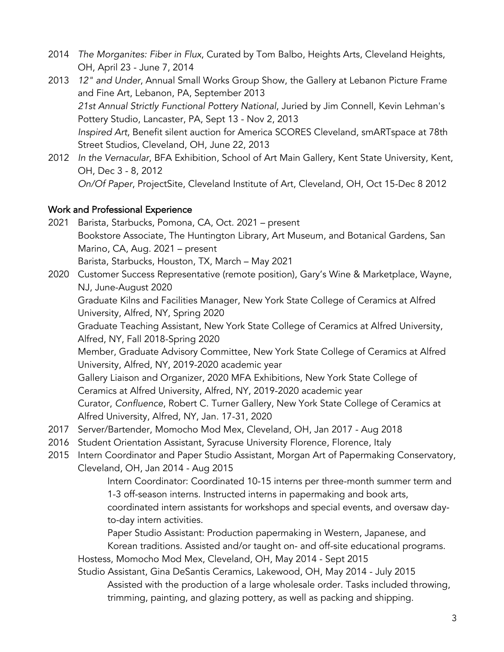- 2014 *The Morganites: Fiber in Flux*, Curated by Tom Balbo, Heights Arts, Cleveland Heights, OH, April 23 - June 7, 2014
- 2013 *12" and Under*, Annual Small Works Group Show, the Gallery at Lebanon Picture Frame and Fine Art, Lebanon, PA, September 2013 *21st Annual Strictly Functional Pottery National*, Juried by Jim Connell, Kevin Lehman's Pottery Studio, Lancaster, PA, Sept 13 - Nov 2, 2013 *Inspired Art*, Benefit silent auction for America SCORES Cleveland, smARTspace at 78th Street Studios, Cleveland, OH, June 22, 2013
- 2012 *In the Vernacular*, BFA Exhibition, School of Art Main Gallery, Kent State University, Kent, OH, Dec 3 - 8, 2012 *On/Of Paper*, ProjectSite, Cleveland Institute of Art, Cleveland, OH, Oct 15-Dec 8 2012

### Work and Professional Experience

- 2021 Barista, Starbucks, Pomona, CA, Oct. 2021 present Bookstore Associate, The Huntington Library, Art Museum, and Botanical Gardens, San Marino, CA, Aug. 2021 – present Barista, Starbucks, Houston, TX, March – May 2021
- 2020 Customer Success Representative (remote position), Gary's Wine & Marketplace, Wayne, NJ, June-August 2020

Graduate Kilns and Facilities Manager, New York State College of Ceramics at Alfred University, Alfred, NY, Spring 2020

Graduate Teaching Assistant, New York State College of Ceramics at Alfred University, Alfred, NY, Fall 2018-Spring 2020

Member, Graduate Advisory Committee, New York State College of Ceramics at Alfred University, Alfred, NY, 2019-2020 academic year

Gallery Liaison and Organizer, 2020 MFA Exhibitions, New York State College of Ceramics at Alfred University, Alfred, NY, 2019-2020 academic year Curator, *Confluence*, Robert C. Turner Gallery, New York State College of Ceramics at Alfred University, Alfred, NY, Jan. 17-31, 2020

- 2017 Server/Bartender, Momocho Mod Mex, Cleveland, OH, Jan 2017 Aug 2018
- 2016 Student Orientation Assistant, Syracuse University Florence, Florence, Italy
- 2015 Intern Coordinator and Paper Studio Assistant, Morgan Art of Papermaking Conservatory, Cleveland, OH, Jan 2014 - Aug 2015

Intern Coordinator: Coordinated 10-15 interns per three-month summer term and 1-3 off-season interns. Instructed interns in papermaking and book arts, coordinated intern assistants for workshops and special events, and oversaw dayto-day intern activities.

Paper Studio Assistant: Production papermaking in Western, Japanese, and Korean traditions. Assisted and/or taught on- and off-site educational programs. Hostess, Momocho Mod Mex, Cleveland, OH, May 2014 - Sept 2015

Studio Assistant, Gina DeSantis Ceramics, Lakewood, OH, May 2014 - July 2015 Assisted with the production of a large wholesale order. Tasks included throwing, trimming, painting, and glazing pottery, as well as packing and shipping.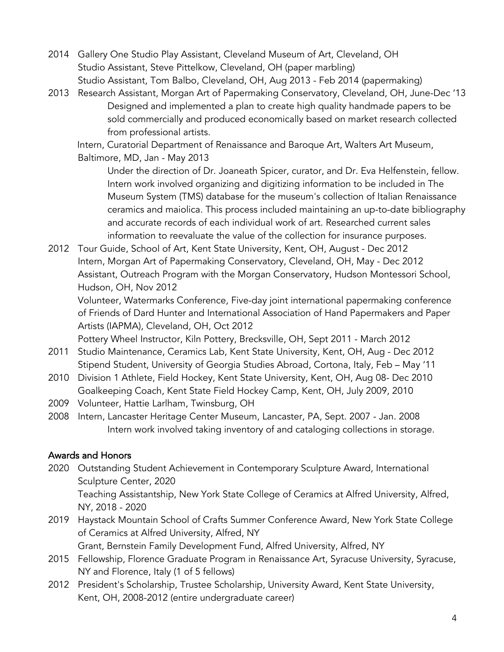- 2014 Gallery One Studio Play Assistant, Cleveland Museum of Art, Cleveland, OH Studio Assistant, Steve Pittelkow, Cleveland, OH (paper marbling) Studio Assistant, Tom Balbo, Cleveland, OH, Aug 2013 - Feb 2014 (papermaking)
- 2013 Research Assistant, Morgan Art of Papermaking Conservatory, Cleveland, OH, June-Dec '13 Designed and implemented a plan to create high quality handmade papers to be sold commercially and produced economically based on market research collected from professional artists.

Intern, Curatorial Department of Renaissance and Baroque Art, Walters Art Museum, Baltimore, MD, Jan - May 2013

Under the direction of Dr. Joaneath Spicer, curator, and Dr. Eva Helfenstein, fellow. Intern work involved organizing and digitizing information to be included in The Museum System (TMS) database for the museum's collection of Italian Renaissance ceramics and maiolica. This process included maintaining an up-to-date bibliography and accurate records of each individual work of art. Researched current sales information to reevaluate the value of the collection for insurance purposes.

2012 Tour Guide, School of Art, Kent State University, Kent, OH, August - Dec 2012 Intern, Morgan Art of Papermaking Conservatory, Cleveland, OH, May - Dec 2012 Assistant, Outreach Program with the Morgan Conservatory, Hudson Montessori School, Hudson, OH, Nov 2012

Volunteer, Watermarks Conference, Five-day joint international papermaking conference of Friends of Dard Hunter and International Association of Hand Papermakers and Paper Artists (IAPMA), Cleveland, OH, Oct 2012

Pottery Wheel Instructor, Kiln Pottery, Brecksville, OH, Sept 2011 - March 2012

- 2011 Studio Maintenance, Ceramics Lab, Kent State University, Kent, OH, Aug Dec 2012 Stipend Student, University of Georgia Studies Abroad, Cortona, Italy, Feb – May '11
- 2010 Division 1 Athlete, Field Hockey, Kent State University, Kent, OH, Aug 08- Dec 2010 Goalkeeping Coach, Kent State Field Hockey Camp, Kent, OH, July 2009, 2010
- 2009 Volunteer, Hattie Larlham, Twinsburg, OH
- 2008 Intern, Lancaster Heritage Center Museum, Lancaster, PA, Sept. 2007 Jan. 2008 Intern work involved taking inventory of and cataloging collections in storage.

### Awards and Honors

- 2020 Outstanding Student Achievement in Contemporary Sculpture Award, International Sculpture Center, 2020 Teaching Assistantship, New York State College of Ceramics at Alfred University, Alfred,
	- NY, 2018 2020
- 2019 Haystack Mountain School of Crafts Summer Conference Award, New York State College of Ceramics at Alfred University, Alfred, NY Grant, Bernstein Family Development Fund, Alfred University, Alfred, NY
- 2015 Fellowship, Florence Graduate Program in Renaissance Art, Syracuse University, Syracuse, NY and Florence, Italy (1 of 5 fellows)
- 2012 President's Scholarship, Trustee Scholarship, University Award, Kent State University, Kent, OH, 2008-2012 (entire undergraduate career)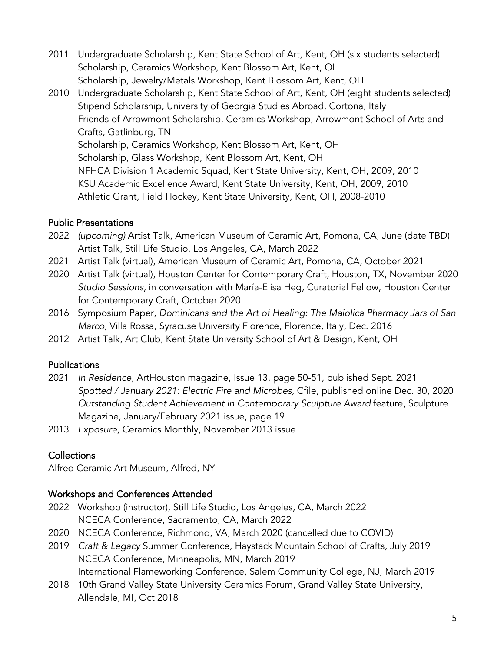- 2011 Undergraduate Scholarship, Kent State School of Art, Kent, OH (six students selected) Scholarship, Ceramics Workshop, Kent Blossom Art, Kent, OH Scholarship, Jewelry/Metals Workshop, Kent Blossom Art, Kent, OH
- 2010 Undergraduate Scholarship, Kent State School of Art, Kent, OH (eight students selected) Stipend Scholarship, University of Georgia Studies Abroad, Cortona, Italy Friends of Arrowmont Scholarship, Ceramics Workshop, Arrowmont School of Arts and Crafts, Gatlinburg, TN Scholarship, Ceramics Workshop, Kent Blossom Art, Kent, OH Scholarship, Glass Workshop, Kent Blossom Art, Kent, OH NFHCA Division 1 Academic Squad, Kent State University, Kent, OH, 2009, 2010 KSU Academic Excellence Award, Kent State University, Kent, OH, 2009, 2010 Athletic Grant, Field Hockey, Kent State University, Kent, OH, 2008-2010

# Public Presentations

- 2022 *(upcoming)* Artist Talk, American Museum of Ceramic Art, Pomona, CA, June (date TBD) Artist Talk, Still Life Studio, Los Angeles, CA, March 2022
- 2021 Artist Talk (virtual), American Museum of Ceramic Art, Pomona, CA, October 2021
- 2020 Artist Talk (virtual), Houston Center for Contemporary Craft, Houston, TX, November 2020 *Studio Sessions*, in conversation with María-Elisa Heg, Curatorial Fellow, Houston Center for Contemporary Craft, October 2020
- 2016 Symposium Paper, *Dominicans and the Art of Healing: The Maiolica Pharmacy Jars of San Marco*, Villa Rossa, Syracuse University Florence, Florence, Italy, Dec. 2016
- 2012 Artist Talk, Art Club, Kent State University School of Art & Design, Kent, OH

### Publications

- 2021 *In Residence*, ArtHouston magazine, Issue 13, page 50-51, published Sept. 2021 *Spotted / January 2021: Electric Fire and Microbes,* Cfile, published online Dec. 30, 2020 *Outstanding Student Achievement in Contemporary Sculpture Award* feature, Sculpture Magazine, January/February 2021 issue, page 19
- 2013 *Exposure*, Ceramics Monthly, November 2013 issue

# **Collections**

Alfred Ceramic Art Museum, Alfred, NY

### Workshops and Conferences Attended

- 2022 Workshop (instructor), Still Life Studio, Los Angeles, CA, March 2022 NCECA Conference, Sacramento, CA, March 2022
- 2020 NCECA Conference, Richmond, VA, March 2020 (cancelled due to COVID)
- 2019 *Craft & Legacy* Summer Conference, Haystack Mountain School of Crafts, July 2019 NCECA Conference, Minneapolis, MN, March 2019 International Flameworking Conference, Salem Community College, NJ, March 2019
- 2018 10th Grand Valley State University Ceramics Forum, Grand Valley State University, Allendale, MI, Oct 2018